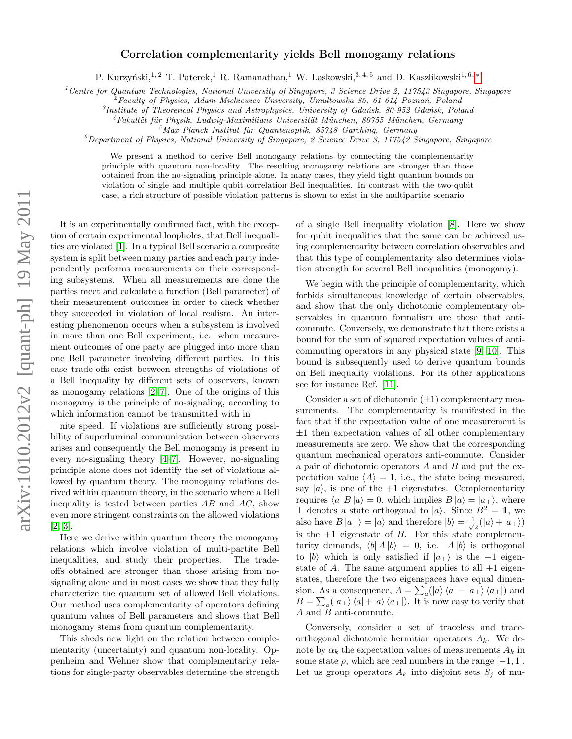## $arXiv:1010.2012v2$  [quant-ph] 19 May 2011 arXiv:1010.2012v2 [quant-ph] 19 May 2011

## Correlation complementarity yields Bell monogamy relations

P. Kurzyński,<sup>1, 2</sup> T. Paterek,<sup>1</sup> R. Ramanathan,<sup>1</sup> W. Laskowski,<sup>3, 4, 5</sup> and D. Kaszlikowski<sup>1, 6, \*</sup>

<sup>1</sup> Centre for Quantum Technologies, National University of Singapore, 3 Science Drive 2, 117543 Singapore, Singapore

 $\ell^2$ Faculty of Physics, Adam Mickiewicz University, Umultowska 85, 61-614 Poznań, Poland

 ${}^{3}$ Institute of Theoretical Physics and Astrophysics, University of Gdańsk, 80-952 Gdańsk, Poland

 $4Fakultät für Physik, Ludwig-Maximilians University in theorem, 80755 München, Germany$ 

 $5$ Max Planck Institut für Quantenoptik, 85748 Garching, Germany

 $^6$ Department of Physics, National University of Singapore, 2 Science Drive 3, 117542 Singapore, Singapore

We present a method to derive Bell monogamy relations by connecting the complementarity principle with quantum non-locality. The resulting monogamy relations are stronger than those obtained from the no-signaling principle alone. In many cases, they yield tight quantum bounds on violation of single and multiple qubit correlation Bell inequalities. In contrast with the two-qubit case, a rich structure of possible violation patterns is shown to exist in the multipartite scenario.

It is an experimentally confirmed fact, with the exception of certain experimental loopholes, that Bell inequalities are violated [\[1\]](#page-3-1). In a typical Bell scenario a composite system is split between many parties and each party independently performs measurements on their corresponding subsystems. When all measurements are done the parties meet and calculate a function (Bell parameter) of their measurement outcomes in order to check whether they succeeded in violation of local realism. An interesting phenomenon occurs when a subsystem is involved in more than one Bell experiment, i.e. when measurement outcomes of one party are plugged into more than one Bell parameter involving different parties. In this case trade-offs exist between strengths of violations of a Bell inequality by different sets of observers, known as monogamy relations [\[2](#page-3-2)[–7\]](#page-3-3). One of the origins of this monogamy is the principle of no-signaling, according to which information cannot be transmitted with in

nite speed. If violations are sufficiently strong possibility of superluminal communication between observers arises and consequently the Bell monogamy is present in every no-signaling theory [\[4–](#page-3-4)[7\]](#page-3-3). However, no-signaling principle alone does not identify the set of violations allowed by quantum theory. The monogamy relations derived within quantum theory, in the scenario where a Bell inequality is tested between parties  $AB$  and  $AC$ , show even more stringent constraints on the allowed violations [\[2,](#page-3-2) [3\]](#page-3-5).

Here we derive within quantum theory the monogamy relations which involve violation of multi-partite Bell inequalities, and study their properties. The tradeoffs obtained are stronger than those arising from nosignaling alone and in most cases we show that they fully characterize the quantum set of allowed Bell violations. Our method uses complementarity of operators defining quantum values of Bell parameters and shows that Bell monogamy stems from quantum complementarity.

This sheds new light on the relation between complementarity (uncertainty) and quantum non-locality. Oppenheim and Wehner show that complementarity relations for single-party observables determine the strength of a single Bell inequality violation [\[8\]](#page-3-6). Here we show for qubit inequalities that the same can be achieved using complementarity between correlation observables and that this type of complementarity also determines violation strength for several Bell inequalities (monogamy).

We begin with the principle of complementarity, which forbids simultaneous knowledge of certain observables, and show that the only dichotomic complementary observables in quantum formalism are those that anticommute. Conversely, we demonstrate that there exists a bound for the sum of squared expectation values of anticommuting operators in any physical state [\[9,](#page-3-7) [10\]](#page-3-8). This bound is subsequently used to derive quantum bounds on Bell inequality violations. For its other applications see for instance Ref. [\[11\]](#page-3-9).

Consider a set of dichotomic  $(\pm 1)$  complementary measurements. The complementarity is manifested in the fact that if the expectation value of one measurement is  $\pm 1$  then expectation values of all other complementary measurements are zero. We show that the corresponding quantum mechanical operators anti-commute. Consider a pair of dichotomic operators  $A$  and  $B$  and put the expectation value  $\langle A \rangle = 1$ , i.e., the state being measured, say  $|a\rangle$ , is one of the  $+1$  eigenstates. Complementarity requires  $\langle a| B |a \rangle = 0$ , which implies  $B |a \rangle = |a_1 \rangle$ , where  $\perp$  denotes a state orthogonal to  $|a\rangle$ . Since  $B^2 = \mathbb{1}$ , we also have  $B |a_{\perp}\rangle = |a\rangle$  and therefore  $|b\rangle = \frac{1}{\sqrt{2}}$  $\frac{1}{2}(|a\rangle+|a_{\perp}\rangle)$ is the  $+1$  eigenstate of  $B$ . For this state complementarity demands,  $\langle b | A | b \rangle = 0$ , i.e.  $A | b \rangle$  is orthogonal to |b\ which is only satisfied if  $|a_{\perp}\rangle$  is the -1 eigenstate of A. The same argument applies to all  $+1$  eigenstates, therefore the two eigenspaces have equal dimension. As a consequence,  $A = \sum_a (|a\rangle \langle a| - |a_\perp\rangle \langle a_\perp|)$  and  $B = \sum_a (|a_\perp\rangle \langle a|+|a\rangle \langle a_\perp|)$ . It is now easy to verify that A and B anti-commute.

Conversely, consider a set of traceless and traceorthogonal dichotomic hermitian operators  $A_k$ . We denote by  $\alpha_k$  the expectation values of measurements  $A_k$  in some state  $\rho$ , which are real numbers in the range  $[-1, 1]$ . Let us group operators  $A_k$  into disjoint sets  $S_j$  of mu-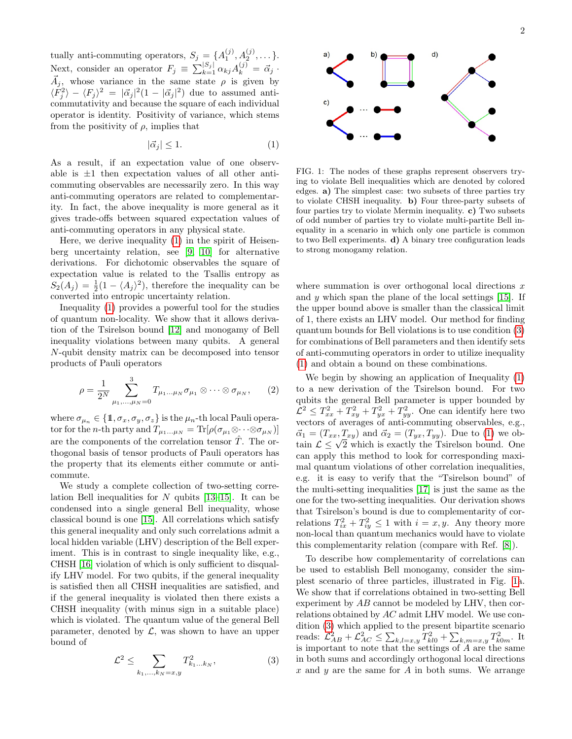tually anti-commuting operators,  $S_j = \{A_1^{(j)}, A_2^{(j)}, \dots\}.$ Next, consider an operator  $F_j \equiv \sum_{k=1}^{|S_j|} \alpha_{kj} A_k^{(j)} = \vec{\alpha}_j$ .  $\vec{A}_j$ , whose variance in the same state  $\rho$  is given by  $\langle F_j^2 \rangle - \langle F_j \rangle^2 = |\vec{\alpha}_j|^2 (1 - |\vec{\alpha}_j|^2)$  due to assumed anticommutativity and because the square of each individual operator is identity. Positivity of variance, which stems from the positivity of  $\rho$ , implies that

<span id="page-1-0"></span>
$$
|\vec{\alpha}_j| \le 1. \tag{1}
$$

As a result, if an expectation value of one observable is  $\pm 1$  then expectation values of all other anticommuting observables are necessarily zero. In this way anti-commuting operators are related to complementarity. In fact, the above inequality is more general as it gives trade-offs between squared expectation values of anti-commuting operators in any physical state.

Here, we derive inequality [\(1\)](#page-1-0) in the spirit of Heisenberg uncertainty relation, see [\[9,](#page-3-7) [10\]](#page-3-8) for alternative derivations. For dichotomic observables the square of expectation value is related to the Tsallis entropy as  $S_2(A_j) = \frac{1}{2}(1 - \langle A_j \rangle^2)$ , therefore the inequality can be converted into entropic uncertainty relation.

Inequality [\(1\)](#page-1-0) provides a powerful tool for the studies of quantum non-locality. We show that it allows derivation of the Tsirelson bound [\[12\]](#page-3-10) and monogamy of Bell inequality violations between many qubits. A general N-qubit density matrix can be decomposed into tensor products of Pauli operators

$$
\rho = \frac{1}{2^N} \sum_{\mu_1, \dots, \mu_N = 0}^3 T_{\mu_1 \dots \mu_N} \sigma_{\mu_1} \otimes \dots \otimes \sigma_{\mu_N}, \qquad (2)
$$

where  $\sigma_{\mu_n} \in \{1, \sigma_x, \sigma_y, \sigma_z\}$  is the  $\mu_n$ -th local Pauli operator for the *n*-th party and  $T_{\mu_1...\mu_N} = \text{Tr}[\rho(\sigma_{\mu_1} \otimes \cdots \otimes \sigma_{\mu_N})]$ are the components of the correlation tensor  $\hat{T}$ . The orthogonal basis of tensor products of Pauli operators has the property that its elements either commute or anticommute.

We study a complete collection of two-setting correlation Bell inequalities for  $N$  qubits [\[13–](#page-3-11)[15\]](#page-3-12). It can be condensed into a single general Bell inequality, whose classical bound is one [\[15\]](#page-3-12). All correlations which satisfy this general inequality and only such correlations admit a local hidden variable (LHV) description of the Bell experiment. This is in contrast to single inequality like, e.g., CHSH [\[16\]](#page-3-13) violation of which is only sufficient to disqualify LHV model. For two qubits, if the general inequality is satisfied then all CHSH inequalities are satisfied, and if the general inequality is violated then there exists a CHSH inequality (with minus sign in a suitable place) which is violated. The quantum value of the general Bell parameter, denoted by  $\mathcal{L}$ , was shown to have an upper bound of

<span id="page-1-1"></span>
$$
\mathcal{L}^2 \le \sum_{k_1,\dots,k_N=x,y} T_{k_1\dots k_N}^2,\tag{3}
$$



<span id="page-1-2"></span>FIG. 1: The nodes of these graphs represent observers trying to violate Bell inequalities which are denoted by colored edges. a) The simplest case: two subsets of three parties try to violate CHSH inequality. b) Four three-party subsets of four parties try to violate Mermin inequality. c) Two subsets of odd number of parties try to violate multi-partite Bell inequality in a scenario in which only one particle is common to two Bell experiments. d) A binary tree configuration leads to strong monogamy relation.

where summation is over orthogonal local directions  $x$ and  $y$  which span the plane of the local settings  $[15]$ . If the upper bound above is smaller than the classical limit of 1, there exists an LHV model. Our method for finding quantum bounds for Bell violations is to use condition [\(3\)](#page-1-1) for combinations of Bell parameters and then identify sets of anti-commuting operators in order to utilize inequality [\(1\)](#page-1-0) and obtain a bound on these combinations.

We begin by showing an application of Inequality [\(1\)](#page-1-0) to a new derivation of the Tsirelson bound. For two qubits the general Bell parameter is upper bounded by  $\mathcal{L}^2 \leq T_{xx}^2 + T_{xy}^2 + T_{yx}^2 + T_{yy}^2$ . One can identify here two vectors of averages of anti-commuting observables, e.g.,  $\vec{\alpha}_1 = (T_{xx}, T_{xy})$  and  $\vec{\alpha}_2 = (T_{yx}, T_{yy})$ . Due to [\(1\)](#page-1-0) we ob- $\alpha_1 = (I_{xx}, I_{xy})$  and  $\alpha_2 = (I_{yx}, I_{yy})$ . Due to (1) we obtain  $\mathcal{L} \leq \sqrt{2}$  which is exactly the Tsirelson bound. One can apply this method to look for corresponding maximal quantum violations of other correlation inequalities, e.g. it is easy to verify that the "Tsirelson bound" of the multi-setting inequalities [\[17\]](#page-3-14) is just the same as the one for the two-setting inequalities. Our derivation shows that Tsirelson's bound is due to complementarity of correlations  $T_{ix}^2 + T_{iy}^2 \le 1$  with  $i = x, y$ . Any theory more non-local than quantum mechanics would have to violate this complementarity relation (compare with Ref. [\[8\]](#page-3-6)).

To describe how complementarity of correlations can be used to establish Bell monogamy, consider the simplest scenario of three particles, illustrated in Fig. [1a](#page-1-2). We show that if correlations obtained in two-setting Bell experiment by AB cannot be modeled by LHV, then correlations obtained by AC admit LHV model. We use condition [\(3\)](#page-1-1) which applied to the present bipartite scenario reads:  $\mathcal{L}_{AB}^2 + \mathcal{L}_{AC}^2 \le \sum_{k,l=x,y} T_{kl0}^2 + \sum_{k,m=x,y} T_{k0m}^2$ . It is important to note that the settings of A are the same in both sums and accordingly orthogonal local directions x and y are the same for A in both sums. We arrange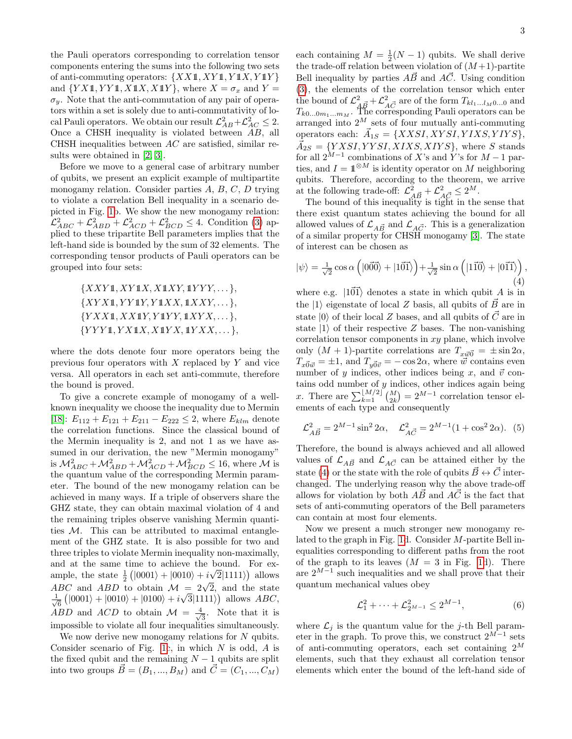the Pauli operators corresponding to correlation tensor components entering the sums into the following two sets of anti-commuting operators:  $\{XX\mathbb{1}, XY\mathbb{1}, Y\mathbb{1}X, Y\mathbb{1}Y\}$ and  ${YX1, YY1, X1X, X1Y}$ , where  $X = \sigma_x$  and  $Y =$  $\sigma_y$ . Note that the anti-commutation of any pair of operators within a set is solely due to anti-commutativity of local Pauli operators. We obtain our result  $\mathcal{L}_{AB}^2 + \mathcal{L}_{AC}^2 \leq 2$ . Once a CHSH inequality is violated between AB, all CHSH inequalities between  $AC$  are satisfied, similar results were obtained in [\[2,](#page-3-2) [3\]](#page-3-5).

Before we move to a general case of arbitrary number of qubits, we present an explicit example of multipartite monogamy relation. Consider parties  $A, B, C, D$  trying to violate a correlation Bell inequality in a scenario depicted in Fig. [1b](#page-1-2). We show the new monogamy relation:  $\mathcal{L}_{ABC}^2 + \mathcal{L}_{ABD}^2 + \mathcal{L}_{ACD}^2 + \mathcal{L}_{BCD}^2 \leq 4$ . Condition [\(3\)](#page-1-1) applied to these tripartite Bell parameters implies that the left-hand side is bounded by the sum of 32 elements. The corresponding tensor products of Pauli operators can be grouped into four sets:

> <span id="page-2-0"></span> ${XXY1, XY1X, X1XY, 1YYY, \ldots},$  $\{XYX1,YY1Y, Y1XX, 1XXY, \ldots\},\$  ${YXX1, XX1Y, Y1YY, 1XYX, \ldots},$  ${YYY1, YX1X, X1YX, 1YXX, \ldots}$

where the dots denote four more operators being the previous four operators with  $X$  replaced by  $Y$  and vice versa. All operators in each set anti-commute, therefore the bound is proved.

To give a concrete example of monogamy of a wellknown inequality we choose the inequality due to Mermin [\[18\]](#page-3-15):  $E_{112} + E_{121} + E_{211} - E_{222} \leq 2$ , where  $E_{klm}$  denote the correlation functions. Since the classical bound of the Mermin inequality is 2, and not 1 as we have assumed in our derivation, the new "Mermin monogamy" is  $\mathcal{M}^2_{ABC} + \mathcal{M}^2_{ABD} + \mathcal{M}^2_{ACD} + \mathcal{M}^2_{BCD} \leq 16$ , where  $\mathcal M$  is the quantum value of the corresponding Mermin parameter. The bound of the new monogamy relation can be achieved in many ways. If a triple of observers share the GHZ state, they can obtain maximal violation of 4 and the remaining triples observe vanishing Mermin quantities  $M$ . This can be attributed to maximal entanglement of the GHZ state. It is also possible for two and three triples to violate Mermin inequality non-maximally, and at the same time to achieve the bound. For example, the state  $\frac{1}{2} (|0001\rangle + |0010\rangle + i\sqrt{2}|1111\rangle)$  allows ABC and ABD to obtain  $M = 2\sqrt{2}$ , and the state  $\frac{1}{2}$  $\frac{1}{6}$  ( $|0001\rangle + |0010\rangle + |0100\rangle + i$ √  $\overline{3}|1111\rangle$  allows  $ABC$ , ABD and ACD to obtain  $\mathcal{M} = \frac{4}{\sqrt{2}}$  $\frac{1}{3}$ . Note that it is impossible to violate all four inequalities simultaneously.

We now derive new monogamy relations for  $N$  qubits. Consider scenario of Fig. [1c](#page-1-2), in which  $N$  is odd,  $A$  is the fixed qubit and the remaining  $N-1$  qubits are split into two groups  $\vec{B} = (B_1, ..., B_M)$  and  $\vec{C} = (C_1, ..., C_M)$ 

each containing  $M = \frac{1}{2}(N-1)$  qubits. We shall derive the trade-off relation between violation of  $(M+1)$ -partite Bell inequality by parties  $A\vec{B}$  and  $A\vec{C}$ . Using condition [\(3\)](#page-1-1), the elements of the correlation tensor which enter the bound of  $\mathcal{L}_{A\vec{B}}^2 + \mathcal{L}_{A\vec{C}}^2$  are of the form  $T_{kl_1...l_M0...0}$  and  $T_{k0...0m_1...m_M}$ . The corresponding Pauli operators can be arranged into  $2^M$  sets of four mutually anti-commuting operators each:  $\vec{A}_{1S} = \{XXSI, XYSI, YIXS, YIYS\},\$  $\vec{A}_{2S} = \{YXSI, YYSI, XIXS, XIYS\},$  where S stands for all  $2^{M-1}$  combinations of X's and Y's for  $M-1$  parties, and  $I = \mathbb{1}^{\otimes M}$  is identity operator on M neighboring qubits. Therefore, according to the theorem, we arrive at the following trade-off:  $\mathcal{L}_{A\vec{B}}^2 + \mathcal{L}_{A\vec{C}}^2 \leq 2^M$ .<br>The bound of this inequality is tight in the sense that

there exist quantum states achieving the bound for all allowed values of  $\mathcal{L}_{A\vec{B}}$  and  $\mathcal{L}_{A\vec{C}}$ . This is a generalization of a similar property for CHSH monogamy [\[3\]](#page-3-5). The state of interest can be chosen as

$$
|\psi\rangle = \frac{1}{\sqrt{2}} \cos \alpha \left( |0\vec{0}\vec{0}\rangle + |1\vec{0}\vec{1}\rangle \right) + \frac{1}{\sqrt{2}} \sin \alpha \left( |1\vec{1}\vec{0}\rangle + |0\vec{1}\vec{1}\rangle \right),\tag{4}
$$

where e.g.  $|1\vec{0}\vec{1}\rangle$  denotes a state in which qubit A is in the  $|1\rangle$  eigenstate of local Z basis, all qubits of  $\vec{B}$  are in state  $|0\rangle$  of their local Z bases, and all qubits of  $\vec{C}$  are in state  $|1\rangle$  of their respective Z bases. The non-vanishing correlation tensor components in  $xy$  plane, which involve only  $(M + 1)$ -partite correlations are  $T_{x \vec{w}} = \pm \sin 2\alpha$ ,  $T_{x\vec{0}\vec{w}} = \pm 1$ , and  $T_{y\vec{0}\vec{v}} = -\cos 2\alpha$ , where  $\vec{w}$  contains even number of y indices, other indices being x, and  $\vec{v}$  contains odd number of  $y$  indices, other indices again being x. There are  $\sum_{k=1}^{\lfloor M/2 \rfloor} \binom{M}{2k} = 2^{M-1}$  correlation tensor elements of each type and consequently

$$
\mathcal{L}_{A\vec{B}}^2 = 2^{M-1} \sin^2 2\alpha, \quad \mathcal{L}_{A\vec{C}}^2 = 2^{M-1} (1 + \cos^2 2\alpha). \tag{5}
$$

Therefore, the bound is always achieved and all allowed values of  $\mathcal{L}_{A\vec{B}}$  and  $\mathcal{L}_{A\vec{C}}$  can be attained either by the state [\(4\)](#page-2-0) or the state with the role of qubits  $\vec{B} \leftrightarrow \vec{C}$  interchanged. The underlying reason why the above trade-off allows for violation by both  $\overrightarrow{AB}$  and  $\overrightarrow{AC}$  is the fact that sets of anti-commuting operators of the Bell parameters can contain at most four elements.

Now we present a much stronger new monogamy related to the graph in Fig. [1d](#page-1-2). Consider M-partite Bell inequalities corresponding to different paths from the root of the graph to its leaves  $(M = 3$  in Fig. [1d](#page-1-2)). There are  $2^{M-1}$  such inequalities and we shall prove that their quantum mechanical values obey

<span id="page-2-1"></span>
$$
\mathcal{L}_1^2 + \dots + \mathcal{L}_{2^{M-1}}^2 \le 2^{M-1},\tag{6}
$$

where  $\mathcal{L}_i$  is the quantum value for the j-th Bell parameter in the graph. To prove this, we construct  $2^{M-1}$  sets of anti-commuting operators, each set containing  $2^M$ elements, such that they exhaust all correlation tensor elements which enter the bound of the left-hand side of